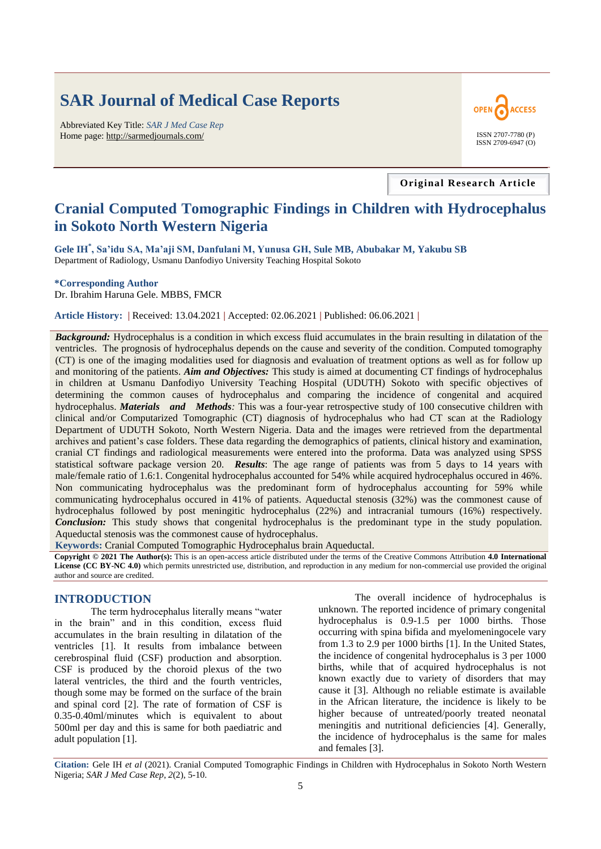# **SAR Journal of Medical Case Reports**

Abbreviated Key Title: *SAR J Med Case Rep* Home page: http://sarmedjournals.com/ ISSN 2707-7780 (P)



#### **Original Research Article**

# **Cranial Computed Tomographic Findings in Children with Hydrocephalus in Sokoto North Western Nigeria**

**Gele IH\* , Sa'idu SA, Ma'aji SM, Danfulani M, Yunusa GH, Sule MB, Abubakar M, Yakubu SB** Department of Radiology, Usmanu Danfodiyo University Teaching Hospital Sokoto

**\*Corresponding Author**

Dr. Ibrahim Haruna Gele. MBBS, FMCR

**Article History: |** Received: 13.04.2021 **|** Accepted: 02.06.2021 **|** Published: 06.06.2021 **|**

**Background:** Hydrocephalus is a condition in which excess fluid accumulates in the brain resulting in dilatation of the ventricles. The prognosis of hydrocephalus depends on the cause and severity of the condition. Computed tomography (CT) is one of the imaging modalities used for diagnosis and evaluation of treatment options as well as for follow up and monitoring of the patients. *Aim and Objectives:* This study is aimed at documenting CT findings of hydrocephalus in children at Usmanu Danfodiyo University Teaching Hospital (UDUTH) Sokoto with specific objectives of determining the common causes of hydrocephalus and comparing the incidence of congenital and acquired hydrocephalus. *Materials and Methods:* This was a four-year retrospective study of 100 consecutive children with clinical and/or Computarized Tomographic (CT) diagnosis of hydrocephalus who had CT scan at the Radiology Department of UDUTH Sokoto, North Western Nigeria. Data and the images were retrieved from the departmental archives and patient"s case folders. These data regarding the demographics of patients, clinical history and examination, cranial CT findings and radiological measurements were entered into the proforma. Data was analyzed using SPSS statistical software package version 20. *Results*: The age range of patients was from 5 days to 14 years with male/female ratio of 1.6:1. Congenital hydrocephalus accounted for 54% while acquired hydrocephalus occured in 46%. Non communicating hydrocephalus was the predominant form of hydrocephalus accounting for 59% while communicating hydrocephalus occured in 41% of patients. Aqueductal stenosis (32%) was the commonest cause of hydrocephalus followed by post meningitic hydrocephalus (22%) and intracranial tumours (16%) respectively. *Conclusion:* This study shows that congenital hydrocephalus is the predominant type in the study population. Aqueductal stenosis was the commonest cause of hydrocephalus.

**Keywords:** Cranial Computed Tomographic Hydrocephalus brain Aqueductal.

**Copyright © 2021 The Author(s):** This is an open-access article distributed under the terms of the Creative Commons Attribution **4.0 International License (CC BY-NC 4.0)** which permits unrestricted use, distribution, and reproduction in any medium for non-commercial use provided the original author and source are credited.

#### **INTRODUCTION**

The term hydrocephalus literally means "water in the brain" and in this condition, excess fluid accumulates in the brain resulting in dilatation of the ventricles [1]. It results from imbalance between cerebrospinal fluid (CSF) production and absorption. CSF is produced by the choroid plexus of the two lateral ventricles, the third and the fourth ventricles, though some may be formed on the surface of the brain and spinal cord [2]. The rate of formation of CSF is 0.35-0.40ml/minutes which is equivalent to about 500ml per day and this is same for both paediatric and adult population [1].

The overall incidence of hydrocephalus is unknown. The reported incidence of primary congenital hydrocephalus is 0.9-1.5 per 1000 births. Those occurring with spina bifida and myelomeningocele vary from 1.3 to 2.9 per 1000 births [1]. In the United States, the incidence of congenital hydrocephalus is 3 per 1000 births, while that of acquired hydrocephalus is not known exactly due to variety of disorders that may cause it [3]. Although no reliable estimate is available in the African literature, the incidence is likely to be higher because of untreated/poorly treated neonatal meningitis and nutritional deficiencies [4]. Generally, the incidence of hydrocephalus is the same for males and females [3].

**Citation:** Gele IH *et al* (2021). Cranial Computed Tomographic Findings in Children with Hydrocephalus in Sokoto North Western Nigeria; *SAR J Med Case Rep*, *2*(2), 5-10.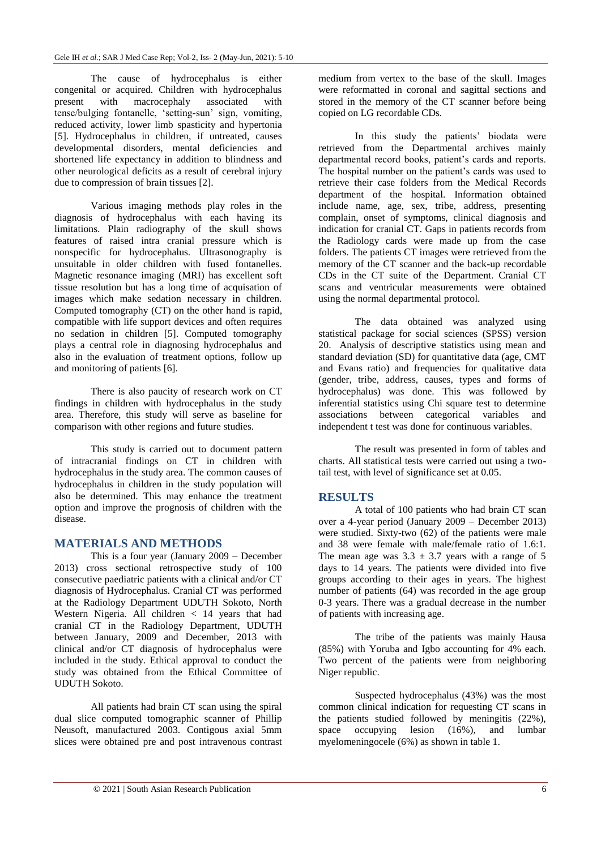The cause of hydrocephalus is either congenital or acquired. Children with hydrocephalus present with macrocephaly associated with tense/bulging fontanelle, "setting-sun" sign, vomiting, reduced activity, lower limb spasticity and hypertonia [5]. Hydrocephalus in children, if untreated, causes developmental disorders, mental deficiencies and shortened life expectancy in addition to blindness and other neurological deficits as a result of cerebral injury due to compression of brain tissues [2].

Various imaging methods play roles in the diagnosis of hydrocephalus with each having its limitations. Plain radiography of the skull shows features of raised intra cranial pressure which is nonspecific for hydrocephalus. Ultrasonography is unsuitable in older children with fused fontanelles. Magnetic resonance imaging (MRI) has excellent soft tissue resolution but has a long time of acquisation of images which make sedation necessary in children. Computed tomography (CT) on the other hand is rapid, compatible with life support devices and often requires no sedation in children [5]. Computed tomography plays a central role in diagnosing hydrocephalus and also in the evaluation of treatment options, follow up and monitoring of patients [6].

There is also paucity of research work on CT findings in children with hydrocephalus in the study area. Therefore, this study will serve as baseline for comparison with other regions and future studies.

This study is carried out to document pattern of intracranial findings on CT in children with hydrocephalus in the study area. The common causes of hydrocephalus in children in the study population will also be determined. This may enhance the treatment option and improve the prognosis of children with the disease.

#### **MATERIALS AND METHODS**

This is a four year (January 2009 – December 2013) cross sectional retrospective study of 100 consecutive paediatric patients with a clinical and/or CT diagnosis of Hydrocephalus. Cranial CT was performed at the Radiology Department UDUTH Sokoto, North Western Nigeria. All children < 14 years that had cranial CT in the Radiology Department, UDUTH between January, 2009 and December, 2013 with clinical and/or CT diagnosis of hydrocephalus were included in the study. Ethical approval to conduct the study was obtained from the Ethical Committee of UDUTH Sokoto.

All patients had brain CT scan using the spiral dual slice computed tomographic scanner of Phillip Neusoft, manufactured 2003. Contigous axial 5mm slices were obtained pre and post intravenous contrast medium from vertex to the base of the skull. Images were reformatted in coronal and sagittal sections and stored in the memory of the CT scanner before being copied on LG recordable CDs.

In this study the patients' biodata were retrieved from the Departmental archives mainly departmental record books, patient's cards and reports. The hospital number on the patient's cards was used to retrieve their case folders from the Medical Records department of the hospital. Information obtained include name, age, sex, tribe, address, presenting complain, onset of symptoms, clinical diagnosis and indication for cranial CT. Gaps in patients records from the Radiology cards were made up from the case folders. The patients CT images were retrieved from the memory of the CT scanner and the back-up recordable CDs in the CT suite of the Department. Cranial CT scans and ventricular measurements were obtained using the normal departmental protocol.

The data obtained was analyzed using statistical package for social sciences (SPSS) version 20. Analysis of descriptive statistics using mean and standard deviation (SD) for quantitative data (age, CMT and Evans ratio) and frequencies for qualitative data (gender, tribe, address, causes, types and forms of hydrocephalus) was done. This was followed by inferential statistics using Chi square test to determine associations between categorical variables and independent t test was done for continuous variables.

The result was presented in form of tables and charts. All statistical tests were carried out using a twotail test, with level of significance set at 0.05.

#### **RESULTS**

A total of 100 patients who had brain CT scan over a 4-year period (January 2009 – December 2013) were studied. Sixty-two (62) of the patients were male and 38 were female with male/female ratio of 1.6:1. The mean age was  $3.3 \pm 3.7$  years with a range of 5 days to 14 years. The patients were divided into five groups according to their ages in years. The highest number of patients (64) was recorded in the age group 0-3 years. There was a gradual decrease in the number of patients with increasing age.

The tribe of the patients was mainly Hausa (85%) with Yoruba and Igbo accounting for 4% each. Two percent of the patients were from neighboring Niger republic.

Suspected hydrocephalus (43%) was the most common clinical indication for requesting CT scans in the patients studied followed by meningitis (22%), space occupying lesion (16%), and lumbar myelomeningocele (6%) as shown in table 1.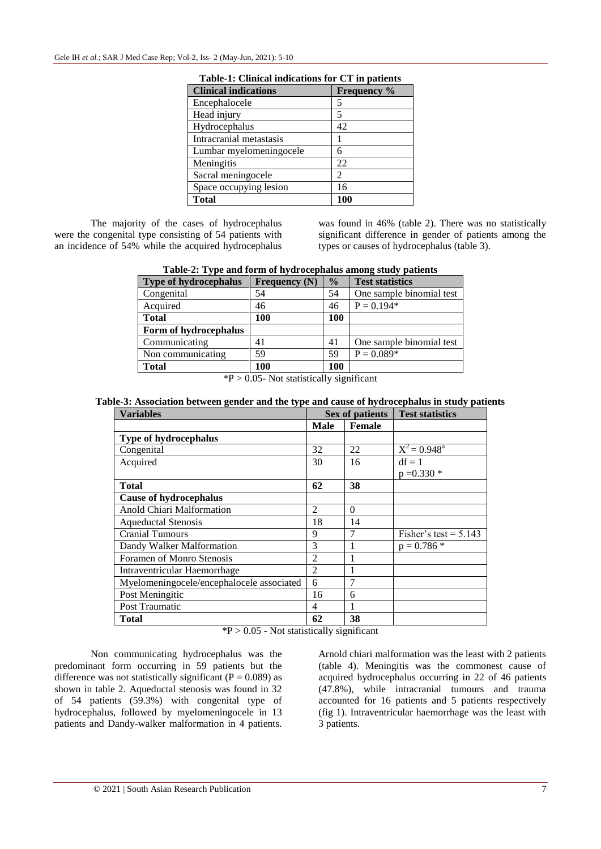| <b>Clinical indications</b> | Frequency % |
|-----------------------------|-------------|
| Encephalocele               | 5           |
| Head injury                 | 5           |
| Hydrocephalus               | 42          |
| Intracranial metastasis     |             |
| Lumbar myelomeningocele     | 6           |
| Meningitis                  | 22          |
| Sacral meningocele          | 2           |
| Space occupying lesion      | 16          |
| <b>Total</b>                | 100         |

|  |  | Table-1: Clinical indications for CT in patients |  |  |  |
|--|--|--------------------------------------------------|--|--|--|
|--|--|--------------------------------------------------|--|--|--|

The majority of the cases of hydrocephalus were the congenital type consisting of 54 patients with an incidence of 54% while the acquired hydrocephalus was found in 46% (table 2). There was no statistically significant difference in gender of patients among the types or causes of hydrocephalus (table 3).

**Table-2: Type and form of hydrocephalus among study patients**

| <b>Type of hydrocephalus</b> | Frequency $(N)$ | $\frac{0}{0}$ | <b>Test statistics</b>   |
|------------------------------|-----------------|---------------|--------------------------|
| Congenital                   | 54              | 54            | One sample binomial test |
| Acquired                     | 46              | 46            | $P = 0.194*$             |
| <b>Total</b>                 | 100             | 100           |                          |
| Form of hydrocephalus        |                 |               |                          |
| Communicating                | 41              | 41            | One sample binomial test |
| Non communicating            | 59              | 59            | $P = 0.089*$             |
| <b>Total</b>                 | 100             | 100           |                          |

 $*P > 0.05$ - Not statistically significant

**Table-3: Association between gender and the type and cause of hydrocephalus in study patients**

| <b>Variables</b>                          | Sex of patients |          | <b>Test statistics</b>  |  |
|-------------------------------------------|-----------------|----------|-------------------------|--|
|                                           | Male            | Female   |                         |  |
| Type of hydrocephalus                     |                 |          |                         |  |
| Congenital                                | 32              | 22       | $X^2 = 0.948^a$         |  |
| Acquired                                  | 30              | 16       | $df = 1$                |  |
|                                           |                 |          | $p = 0.330$ *           |  |
| Total                                     | 62              | 38       |                         |  |
| <b>Cause of hydrocephalus</b>             |                 |          |                         |  |
| Anold Chiari Malformation                 | 2               | $\Omega$ |                         |  |
| <b>Aqueductal Stenosis</b>                | 18              | 14       |                         |  |
| <b>Cranial Tumours</b>                    | 9               | 7        | Fisher's test = $5.143$ |  |
| Dandy Walker Malformation                 | 3               | 1        | $p = 0.786$ *           |  |
| Foramen of Monro Stenosis                 | $\overline{2}$  |          |                         |  |
| Intraventricular Haemorrhage              | 2               |          |                         |  |
| Myelomeningocele/encephalocele associated | 6               | 7        |                         |  |
| Post Meningitic                           | 16              | 6        |                         |  |
| Post Traumatic                            | 4               | 1        |                         |  |
| <b>Total</b>                              | 62              | 38       |                         |  |

 $*P > 0.05$  - Not statistically significant

Non communicating hydrocephalus was the predominant form occurring in 59 patients but the difference was not statistically significant ( $P = 0.089$ ) as shown in table 2. Aqueductal stenosis was found in 32 of 54 patients (59.3%) with congenital type of hydrocephalus, followed by myelomeningocele in 13 patients and Dandy-walker malformation in 4 patients. Arnold chiari malformation was the least with 2 patients (table 4). Meningitis was the commonest cause of acquired hydrocephalus occurring in 22 of 46 patients (47.8%), while intracranial tumours and trauma accounted for 16 patients and 5 patients respectively (fig 1). Intraventricular haemorrhage was the least with 3 patients.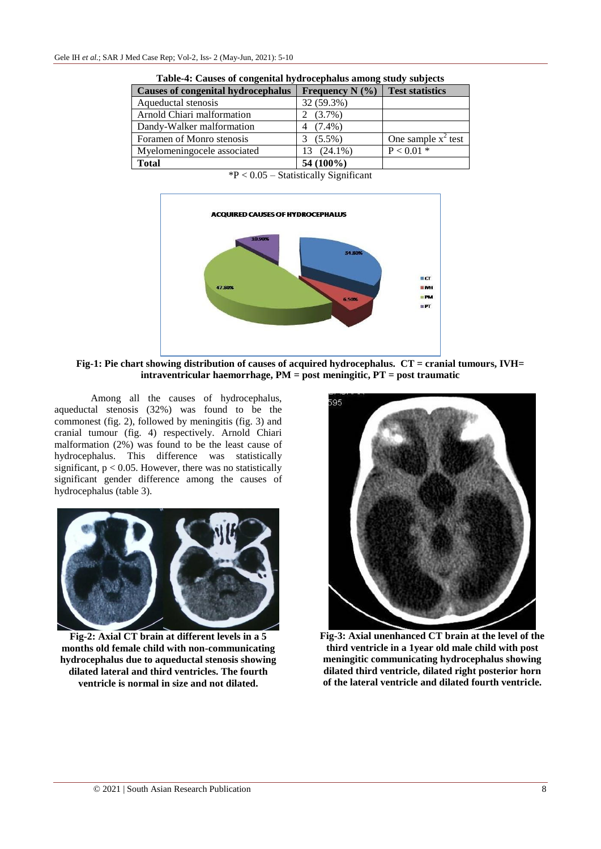| <b>Causes of congenital hydrocephalus</b> | Frequency N $(\% )$ | <b>Test statistics</b> |
|-------------------------------------------|---------------------|------------------------|
| Aqueductal stenosis                       | 32 (59.3%)          |                        |
| Arnold Chiari malformation                | $(3.7\%)$           |                        |
| Dandy-Walker malformation                 | $(7.4\%)$           |                        |
| Foramen of Monro stenosis                 | $(5.5\%)$           | One sample $x^2$ test  |
| Myelomeningocele associated               | 13 (24.1%)          | $P < 0.01$ *           |
| <b>Total</b>                              | 54 (100%)           |                        |

**Table-4: Causes of congenital hydrocephalus among study subjects**

 $*P < 0.05$  – Statistically Significant



**Fig-1: Pie chart showing distribution of causes of acquired hydrocephalus. CT = cranial tumours, IVH= intraventricular haemorrhage, PM = post meningitic, PT = post traumatic**

Among all the causes of hydrocephalus, aqueductal stenosis (32%) was found to be the commonest (fig. 2), followed by meningitis (fig. 3) and cranial tumour (fig. 4) respectively. Arnold Chiari malformation (2%) was found to be the least cause of hydrocephalus. This difference was statistically significant,  $p < 0.05$ . However, there was no statistically significant gender difference among the causes of hydrocephalus (table 3).



**Fig-2: Axial CT brain at different levels in a 5 months old female child with non-communicating hydrocephalus due to aqueductal stenosis showing dilated lateral and third ventricles. The fourth ventricle is normal in size and not dilated.**



**Fig-3: Axial unenhanced CT brain at the level of the third ventricle in a 1year old male child with post meningitic communicating hydrocephalus showing dilated third ventricle, dilated right posterior horn of the lateral ventricle and dilated fourth ventricle.**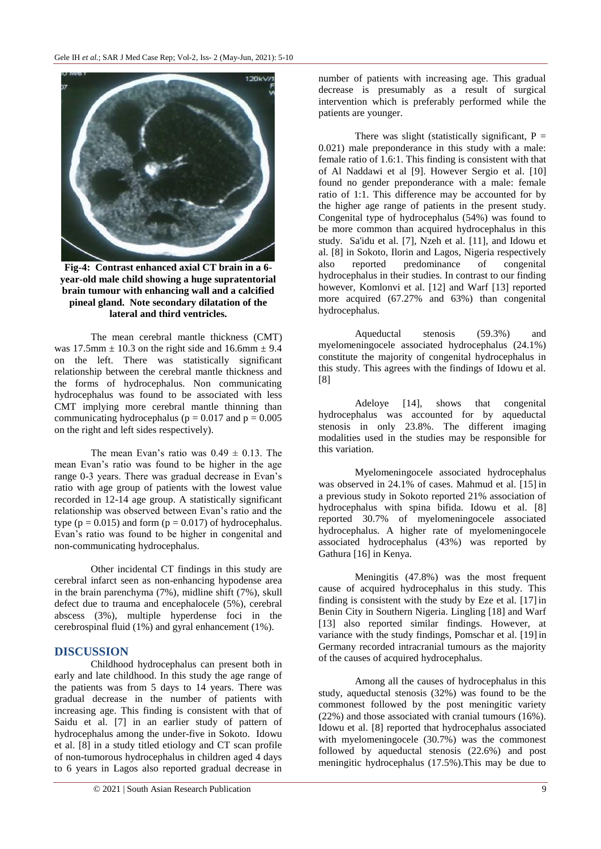

**Fig-4: Contrast enhanced axial CT brain in a 6 year-old male child showing a huge supratentorial brain tumour with enhancing wall and a calcified pineal gland. Note secondary dilatation of the lateral and third ventricles.**

The mean cerebral mantle thickness (CMT) was  $17.5$ mm  $\pm$  10.3 on the right side and 16.6mm  $\pm$  9.4 on the left. There was statistically significant relationship between the cerebral mantle thickness and the forms of hydrocephalus. Non communicating hydrocephalus was found to be associated with less CMT implying more cerebral mantle thinning than communicating hydrocephalus ( $p = 0.017$  and  $p = 0.005$ ) on the right and left sides respectively).

The mean Evan's ratio was  $0.49 \pm 0.13$ . The mean Evan"s ratio was found to be higher in the age range 0-3 years. There was gradual decrease in Evan"s ratio with age group of patients with the lowest value recorded in 12-14 age group. A statistically significant relationship was observed between Evan"s ratio and the type ( $p = 0.015$ ) and form ( $p = 0.017$ ) of hydrocephalus. Evan"s ratio was found to be higher in congenital and non-communicating hydrocephalus.

Other incidental CT findings in this study are cerebral infarct seen as non-enhancing hypodense area in the brain parenchyma (7%), midline shift (7%), skull defect due to trauma and encephalocele (5%), cerebral abscess (3%), multiple hyperdense foci in the cerebrospinal fluid (1%) and gyral enhancement (1%).

#### **DISCUSSION**

Childhood hydrocephalus can present both in early and late childhood. In this study the age range of the patients was from 5 days to 14 years. There was gradual decrease in the number of patients with increasing age. This finding is consistent with that of Saidu et al. [7] in an earlier study of pattern of hydrocephalus among the under-five in Sokoto. Idowu et al. [8] in a study titled etiology and CT scan profile of non-tumorous hydrocephalus in children aged 4 days to 6 years in Lagos also reported gradual decrease in

number of patients with increasing age. This gradual decrease is presumably as a result of surgical intervention which is preferably performed while the patients are younger.

There was slight (statistically significant,  $P =$ 0.021) male preponderance in this study with a male: female ratio of 1.6:1. This finding is consistent with that of Al Naddawi et al [9]. However Sergio et al. [10] found no gender preponderance with a male: female ratio of 1:1. This difference may be accounted for by the higher age range of patients in the present study. Congenital type of hydrocephalus (54%) was found to be more common than acquired hydrocephalus in this study. Sa'idu et al. [7], Nzeh et al. [11], and Idowu et al. [8] in Sokoto, Ilorin and Lagos, Nigeria respectively also reported predominance of congenital hydrocephalus in their studies. In contrast to our finding however, Komlonvi et al. [12] and Warf [13] reported more acquired (67.27% and 63%) than congenital hydrocephalus.

Aqueductal stenosis (59.3%) and myelomeningocele associated hydrocephalus (24.1%) constitute the majority of congenital hydrocephalus in this study. This agrees with the findings of Idowu et al. [8]

Adeloye [14], shows that congenital hydrocephalus was accounted for by aqueductal stenosis in only 23.8%. The different imaging modalities used in the studies may be responsible for this variation.

Myelomeningocele associated hydrocephalus was observed in 24.1% of cases. Mahmud et al. [15] in a previous study in Sokoto reported 21% association of hydrocephalus with spina bifida. Idowu et al. [8] reported 30.7% of myelomeningocele associated hydrocephalus. A higher rate of myelomeningocele associated hydrocephalus (43%) was reported by Gathura [16] in Kenya.

Meningitis (47.8%) was the most frequent cause of acquired hydrocephalus in this study. This finding is consistent with the study by Eze et al. [17]in Benin City in Southern Nigeria. Lingling [18] and Warf [13] also reported similar findings. However, at variance with the study findings, Pomschar et al. [19] in Germany recorded intracranial tumours as the majority of the causes of acquired hydrocephalus.

Among all the causes of hydrocephalus in this study, aqueductal stenosis (32%) was found to be the commonest followed by the post meningitic variety (22%) and those associated with cranial tumours (16%). Idowu et al. [8] reported that hydrocephalus associated with myelomeningocele (30.7%) was the commonest followed by aqueductal stenosis (22.6%) and post meningitic hydrocephalus (17.5%).This may be due to